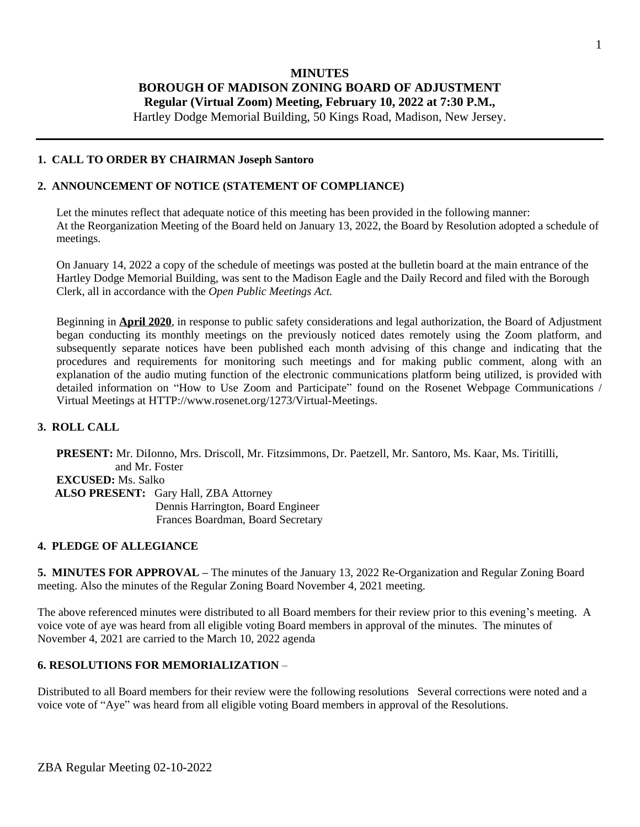# **MINUTES BOROUGH OF MADISON ZONING BOARD OF ADJUSTMENT Regular (Virtual Zoom) Meeting, February 10, 2022 at 7:30 P.M.,**

Hartley Dodge Memorial Building, 50 Kings Road, Madison, New Jersey.

#### **1. CALL TO ORDER BY CHAIRMAN Joseph Santoro**

### **2. ANNOUNCEMENT OF NOTICE (STATEMENT OF COMPLIANCE)**

Let the minutes reflect that adequate notice of this meeting has been provided in the following manner: At the Reorganization Meeting of the Board held on January 13, 2022, the Board by Resolution adopted a schedule of meetings.

On January 14, 2022 a copy of the schedule of meetings was posted at the bulletin board at the main entrance of the Hartley Dodge Memorial Building, was sent to the Madison Eagle and the Daily Record and filed with the Borough Clerk, all in accordance with the *Open Public Meetings Act.*

Beginning in **April 2020**, in response to public safety considerations and legal authorization, the Board of Adjustment began conducting its monthly meetings on the previously noticed dates remotely using the Zoom platform, and subsequently separate notices have been published each month advising of this change and indicating that the procedures and requirements for monitoring such meetings and for making public comment, along with an explanation of the audio muting function of the electronic communications platform being utilized, is provided with detailed information on "How to Use Zoom and Participate" found on the Rosenet Webpage Communications / Virtual Meetings at HTTP://www.rosenet.org/1273/Virtual-Meetings.

### **3. ROLL CALL**

**PRESENT:** Mr. DiIonno, Mrs. Driscoll, Mr. Fitzsimmons, Dr. Paetzell, Mr. Santoro, Ms. Kaar, Ms. Tiritilli, and Mr. Foster **EXCUSED:** Ms. Salko  **ALSO PRESENT:** Gary Hall, ZBA Attorney Dennis Harrington, Board Engineer Frances Boardman, Board Secretary

#### **4. PLEDGE OF ALLEGIANCE**

**5. MINUTES FOR APPROVAL –** The minutes of the January 13, 2022 Re-Organization and Regular Zoning Board meeting. Also the minutes of the Regular Zoning Board November 4, 2021 meeting.

The above referenced minutes were distributed to all Board members for their review prior to this evening's meeting. A voice vote of aye was heard from all eligible voting Board members in approval of the minutes. The minutes of November 4, 2021 are carried to the March 10, 2022 agenda

#### **6. RESOLUTIONS FOR MEMORIALIZATION** –

Distributed to all Board members for their review were the following resolutions Several corrections were noted and a voice vote of "Aye" was heard from all eligible voting Board members in approval of the Resolutions.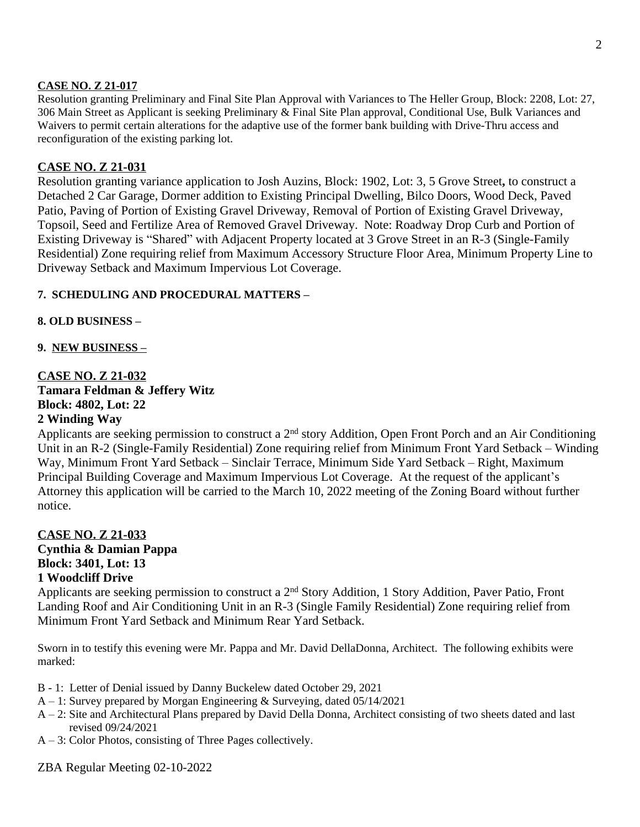### **CASE NO. Z 21-017**

Resolution granting Preliminary and Final Site Plan Approval with Variances to The Heller Group, Block: 2208, Lot: 27, 306 Main Street as Applicant is seeking Preliminary & Final Site Plan approval, Conditional Use, Bulk Variances and Waivers to permit certain alterations for the adaptive use of the former bank building with Drive-Thru access and reconfiguration of the existing parking lot.

## **CASE NO. Z 21-031**

Resolution granting variance application to Josh Auzins, Block: 1902, Lot: 3, 5 Grove Street**,** to construct a Detached 2 Car Garage, Dormer addition to Existing Principal Dwelling, Bilco Doors, Wood Deck, Paved Patio, Paving of Portion of Existing Gravel Driveway, Removal of Portion of Existing Gravel Driveway, Topsoil, Seed and Fertilize Area of Removed Gravel Driveway. Note: Roadway Drop Curb and Portion of Existing Driveway is "Shared" with Adjacent Property located at 3 Grove Street in an R-3 (Single-Family Residential) Zone requiring relief from Maximum Accessory Structure Floor Area, Minimum Property Line to Driveway Setback and Maximum Impervious Lot Coverage.

## **7. SCHEDULING AND PROCEDURAL MATTERS –**

## **8. OLD BUSINESS –**

**9. NEW BUSINESS –**

# **CASE NO. Z 21-032 Tamara Feldman & Jeffery Witz Block: 4802, Lot: 22 2 Winding Way**

# Applicants are seeking permission to construct a 2nd story Addition, Open Front Porch and an Air Conditioning Unit in an R-2 (Single-Family Residential) Zone requiring relief from Minimum Front Yard Setback – Winding Way, Minimum Front Yard Setback – Sinclair Terrace, Minimum Side Yard Setback – Right, Maximum Principal Building Coverage and Maximum Impervious Lot Coverage. At the request of the applicant's Attorney this application will be carried to the March 10, 2022 meeting of the Zoning Board without further notice.

# **CASE NO. Z 21-033 Cynthia & Damian Pappa Block: 3401, Lot: 13 1 Woodcliff Drive**

Applicants are seeking permission to construct a 2nd Story Addition, 1 Story Addition, Paver Patio, Front Landing Roof and Air Conditioning Unit in an R-3 (Single Family Residential) Zone requiring relief from Minimum Front Yard Setback and Minimum Rear Yard Setback.

Sworn in to testify this evening were Mr. Pappa and Mr. David DellaDonna, Architect. The following exhibits were marked:

- B 1: Letter of Denial issued by Danny Buckelew dated October 29, 2021
- A 1: Survey prepared by Morgan Engineering & Surveying, dated 05/14/2021
- A 2: Site and Architectural Plans prepared by David Della Donna, Architect consisting of two sheets dated and last revised 09/24/2021
- A 3: Color Photos, consisting of Three Pages collectively.

ZBA Regular Meeting 02-10-2022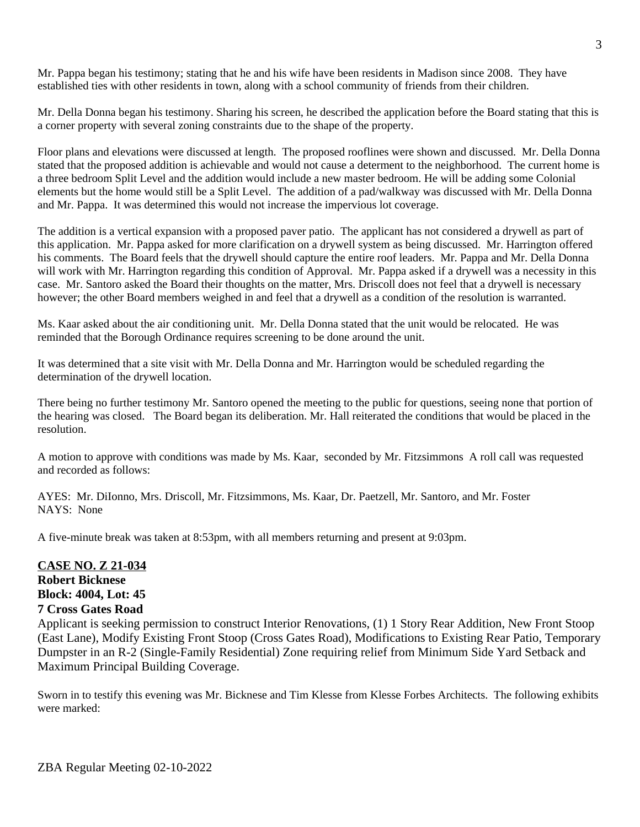Mr. Pappa began his testimony; stating that he and his wife have been residents in Madison since 2008. They have established ties with other residents in town, along with a school community of friends from their children.

Mr. Della Donna began his testimony. Sharing his screen, he described the application before the Board stating that this is a corner property with several zoning constraints due to the shape of the property.

Floor plans and elevations were discussed at length. The proposed rooflines were shown and discussed. Mr. Della Donna stated that the proposed addition is achievable and would not cause a determent to the neighborhood. The current home is a three bedroom Split Level and the addition would include a new master bedroom. He will be adding some Colonial elements but the home would still be a Split Level. The addition of a pad/walkway was discussed with Mr. Della Donna and Mr. Pappa. It was determined this would not increase the impervious lot coverage.

The addition is a vertical expansion with a proposed paver patio. The applicant has not considered a drywell as part of this application. Mr. Pappa asked for more clarification on a drywell system as being discussed. Mr. Harrington offered his comments. The Board feels that the drywell should capture the entire roof leaders. Mr. Pappa and Mr. Della Donna will work with Mr. Harrington regarding this condition of Approval. Mr. Pappa asked if a drywell was a necessity in this case. Mr. Santoro asked the Board their thoughts on the matter, Mrs. Driscoll does not feel that a drywell is necessary however; the other Board members weighed in and feel that a drywell as a condition of the resolution is warranted.

Ms. Kaar asked about the air conditioning unit. Mr. Della Donna stated that the unit would be relocated. He was reminded that the Borough Ordinance requires screening to be done around the unit.

It was determined that a site visit with Mr. Della Donna and Mr. Harrington would be scheduled regarding the determination of the drywell location.

There being no further testimony Mr. Santoro opened the meeting to the public for questions, seeing none that portion of the hearing was closed. The Board began its deliberation. Mr. Hall reiterated the conditions that would be placed in the resolution.

A motion to approve with conditions was made by Ms. Kaar, seconded by Mr. Fitzsimmons A roll call was requested and recorded as follows:

AYES: Mr. DiIonno, Mrs. Driscoll, Mr. Fitzsimmons, Ms. Kaar, Dr. Paetzell, Mr. Santoro, and Mr. Foster NAYS: None

A five-minute break was taken at 8:53pm, with all members returning and present at 9:03pm.

## **CASE NO. Z 21-034 Robert Bicknese Block: 4004, Lot: 45 7 Cross Gates Road**

Applicant is seeking permission to construct Interior Renovations, (1) 1 Story Rear Addition, New Front Stoop (East Lane), Modify Existing Front Stoop (Cross Gates Road), Modifications to Existing Rear Patio, Temporary Dumpster in an R-2 (Single-Family Residential) Zone requiring relief from Minimum Side Yard Setback and Maximum Principal Building Coverage.

Sworn in to testify this evening was Mr. Bicknese and Tim Klesse from Klesse Forbes Architects. The following exhibits were marked: